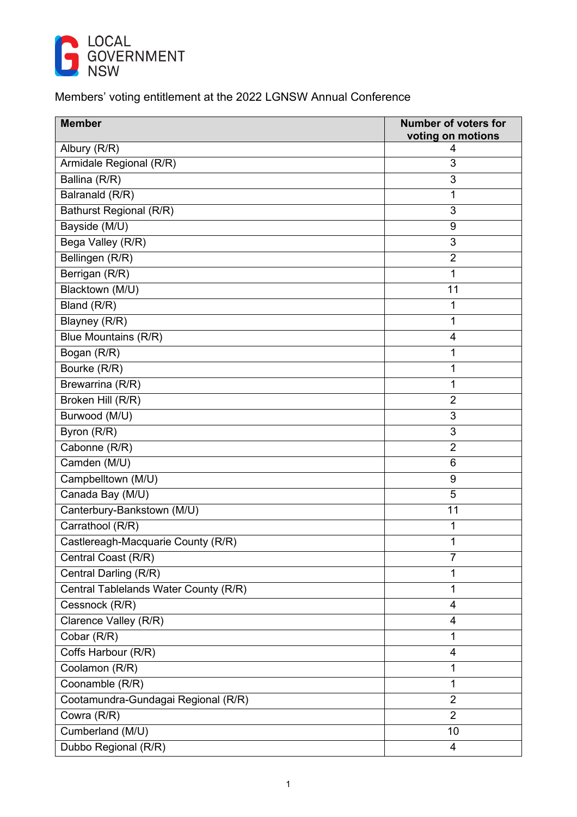

## Members' voting entitlement at the 2022 LGNSW Annual Conference

| <b>Member</b>                         | <b>Number of voters for</b><br>voting on motions |
|---------------------------------------|--------------------------------------------------|
| Albury (R/R)                          | 4                                                |
| Armidale Regional (R/R)               | 3                                                |
| Ballina (R/R)                         | 3                                                |
| Balranald (R/R)                       | $\mathbf{1}$                                     |
| Bathurst Regional (R/R)               | 3                                                |
| Bayside (M/U)                         | 9                                                |
| Bega Valley (R/R)                     | 3                                                |
| Bellingen (R/R)                       | $\overline{2}$                                   |
| Berrigan (R/R)                        | 1                                                |
| Blacktown (M/U)                       | 11                                               |
| Bland (R/R)                           | 1                                                |
| Blayney (R/R)                         | 1                                                |
| Blue Mountains (R/R)                  | 4                                                |
| Bogan (R/R)                           | 1                                                |
| Bourke (R/R)                          | 1                                                |
| Brewarrina (R/R)                      | 1                                                |
| Broken Hill (R/R)                     | $\overline{2}$                                   |
| Burwood (M/U)                         | 3                                                |
| Byron (R/R)                           | 3                                                |
| Cabonne (R/R)                         | $\overline{2}$                                   |
| Camden (M/U)                          | 6                                                |
| Campbelltown (M/U)                    | 9                                                |
| Canada Bay (M/U)                      | 5                                                |
| Canterbury-Bankstown (M/U)            | 11                                               |
| Carrathool (R/R)                      | 1                                                |
| Castlereagh-Macquarie County (R/R)    | 1                                                |
| Central Coast (R/R)                   | 7                                                |
| Central Darling (R/R)                 | 1                                                |
| Central Tablelands Water County (R/R) | 1                                                |
| Cessnock (R/R)                        | 4                                                |
| Clarence Valley (R/R)                 | 4                                                |
| Cobar (R/R)                           | 1                                                |
| Coffs Harbour (R/R)                   | 4                                                |
| Coolamon (R/R)                        | $\mathbf{1}$                                     |
| Coonamble (R/R)                       | $\mathbf{1}$                                     |
| Cootamundra-Gundagai Regional (R/R)   | $\overline{2}$                                   |
| Cowra (R/R)                           | $\overline{2}$                                   |
| Cumberland (M/U)                      | 10                                               |
| Dubbo Regional (R/R)                  | 4                                                |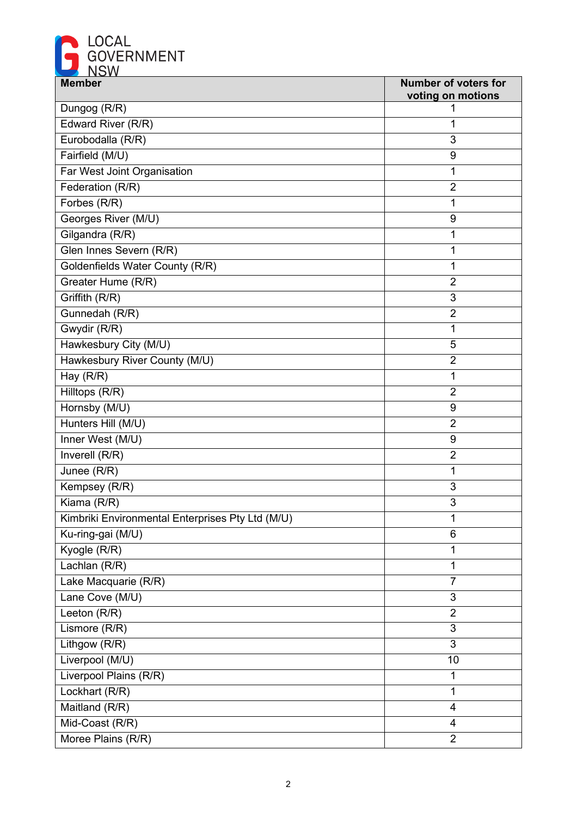

| <b>Member</b>                                    | <b>Number of voters for</b> |
|--------------------------------------------------|-----------------------------|
|                                                  | voting on motions           |
| Dungog (R/R)                                     |                             |
| Edward River (R/R)                               | 1                           |
| Eurobodalla (R/R)                                | 3                           |
| Fairfield (M/U)                                  | 9                           |
| Far West Joint Organisation                      | 1                           |
| Federation (R/R)                                 | $\overline{2}$              |
| Forbes (R/R)                                     | 1                           |
| Georges River (M/U)                              | 9                           |
| Gilgandra (R/R)                                  | 1                           |
| Glen Innes Severn (R/R)                          | 1                           |
| Goldenfields Water County (R/R)                  | 1                           |
| Greater Hume (R/R)                               | $\overline{2}$              |
| Griffith (R/R)                                   | 3                           |
| Gunnedah (R/R)                                   | $\overline{2}$              |
| Gwydir (R/R)                                     | 1                           |
| Hawkesbury City (M/U)                            | $\overline{5}$              |
| Hawkesbury River County (M/U)                    | $\overline{2}$              |
| Hay (R/R)                                        | 1                           |
| Hilltops (R/R)                                   | $\overline{2}$              |
| Hornsby (M/U)                                    | 9                           |
| Hunters Hill (M/U)                               | $\overline{2}$              |
| Inner West (M/U)                                 | 9                           |
| Inverell (R/R)                                   | $\overline{2}$              |
| Junee (R/R)                                      | 1                           |
| Kempsey (R/R)                                    | 3                           |
| Kiama (R/R)                                      | $\mathfrak{B}$              |
| Kimbriki Environmental Enterprises Pty Ltd (M/U) | 1                           |
| Ku-ring-gai (M/U)                                | 6                           |
| Kyogle (R/R)                                     | 1                           |
| Lachlan (R/R)                                    | 1                           |
| Lake Macquarie (R/R)                             | $\overline{7}$              |
| Lane Cove (M/U)                                  | 3                           |
| Leeton (R/R)                                     | $\overline{2}$              |
| Lismore (R/R)                                    | 3                           |
| Lithgow (R/R)                                    | 3                           |
| Liverpool (M/U)                                  | 10                          |
| Liverpool Plains (R/R)                           | 1                           |
| Lockhart (R/R)                                   | 1                           |
| Maitland (R/R)                                   | 4                           |
| Mid-Coast (R/R)                                  | 4                           |
| Moree Plains (R/R)                               | $\overline{2}$              |
|                                                  |                             |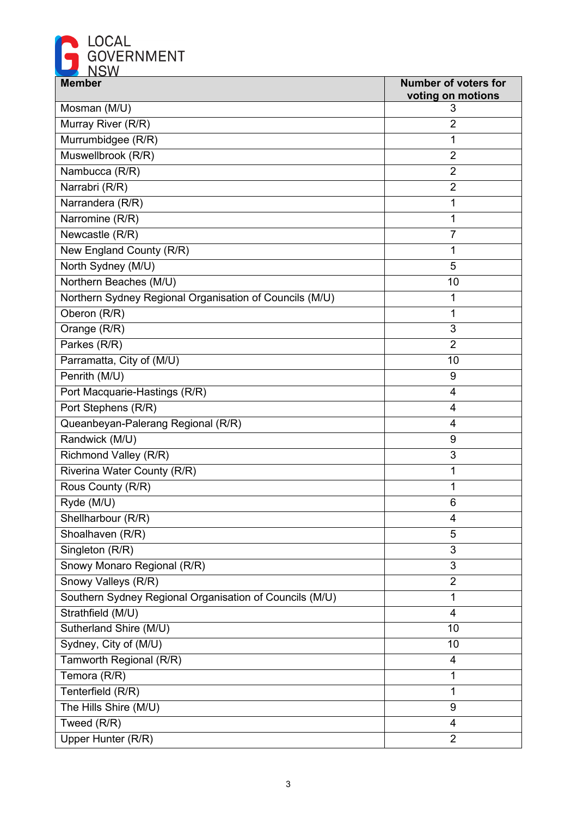

| <b>Member</b>                                           | <b>Number of voters for</b> |
|---------------------------------------------------------|-----------------------------|
|                                                         | voting on motions           |
| Mosman (M/U)                                            | 3                           |
| Murray River (R/R)                                      | $\overline{2}$              |
| Murrumbidgee (R/R)                                      | 1                           |
| Muswellbrook (R/R)                                      | $\overline{2}$              |
| Nambucca (R/R)                                          | $\overline{2}$              |
| Narrabri (R/R)                                          | $\overline{2}$              |
| Narrandera (R/R)                                        | 1                           |
| Narromine (R/R)                                         | 1                           |
| Newcastle (R/R)                                         | $\overline{7}$              |
| New England County (R/R)                                | 1                           |
| North Sydney (M/U)                                      | 5                           |
| Northern Beaches (M/U)                                  | 10                          |
| Northern Sydney Regional Organisation of Councils (M/U) | 1                           |
| Oberon (R/R)                                            | 1                           |
| Orange (R/R)                                            | 3                           |
| Parkes (R/R)                                            | $\overline{2}$              |
| Parramatta, City of (M/U)                               | 10                          |
| Penrith (M/U)                                           | 9                           |
| Port Macquarie-Hastings (R/R)                           | 4                           |
| Port Stephens (R/R)                                     | 4                           |
| Queanbeyan-Palerang Regional (R/R)                      | $\overline{4}$              |
| Randwick (M/U)                                          | 9                           |
| Richmond Valley (R/R)                                   | 3                           |
| Riverina Water County (R/R)                             | 1                           |
| Rous County (R/R)                                       | 1                           |
| Ryde (M/U)                                              | 6                           |
| Shellharbour (R/R)                                      | 4                           |
| Shoalhaven (R/R)                                        | 5                           |
| Singleton (R/R)                                         | 3                           |
| Snowy Monaro Regional (R/R)                             | $\mathfrak{S}$              |
| Snowy Valleys (R/R)                                     | $\overline{2}$              |
| Southern Sydney Regional Organisation of Councils (M/U) | 1                           |
| Strathfield (M/U)                                       | $\overline{4}$              |
| Sutherland Shire (M/U)                                  | 10                          |
| Sydney, City of (M/U)                                   | 10                          |
| Tamworth Regional (R/R)                                 | 4                           |
| Temora (R/R)                                            | 1                           |
| Tenterfield (R/R)                                       | 1                           |
| The Hills Shire (M/U)                                   | 9                           |
| Tweed (R/R)                                             | $\overline{4}$              |
|                                                         | $\overline{2}$              |
| Upper Hunter (R/R)                                      |                             |